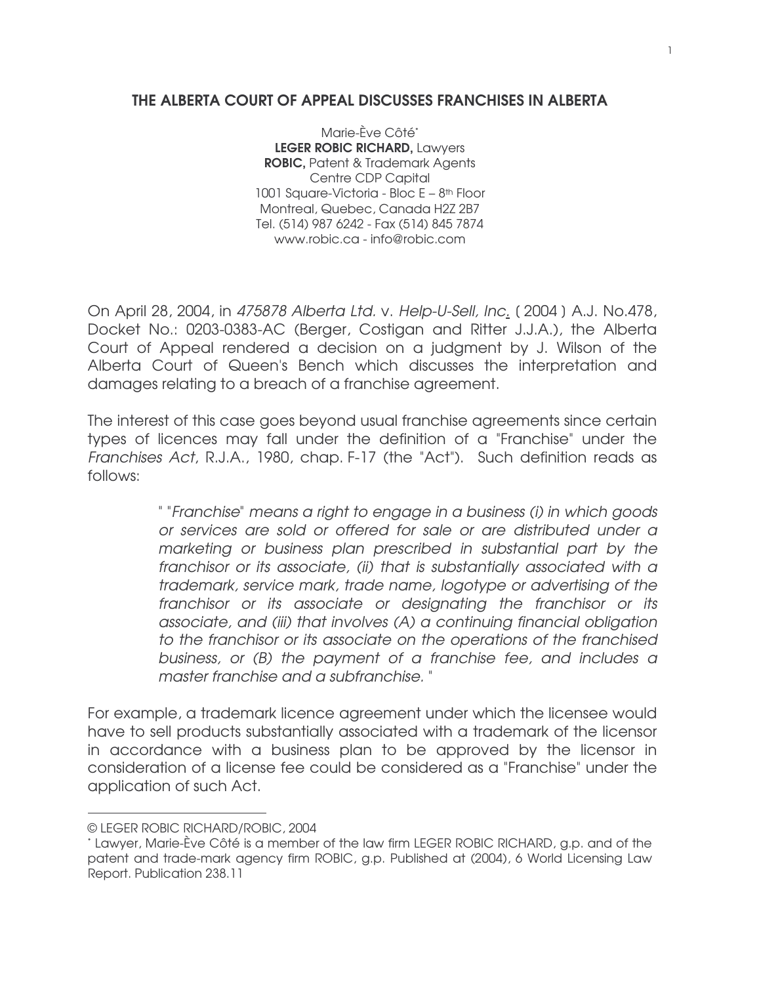## THE ALBERTA COURT OF APPEAL DISCUSSES FRANCHISES IN ALBERTA

Marie-Ève Côté\* LEGER ROBIC RICHARD, Lawyers ROBIC, Patent & Trademark Agents Centre CDP Capital 1001 Square-Victoria - Bloc E – 8<sup>th</sup> Floor Montreal, Quebec, Canada H2Z 2B7 Tel. (514) 987 6242 - Fax (514) 845 7874 www.robic.ca - info@robic.com

On April 28, 2004, in 475878 Alberta Ltd. v. Help-U-Sell, Inc. [ 2004 ] A.J. No.478, Docket No.: 0203-0383-AC (Berger, Costigan and Ritter J.J.A.), the Alberta Court of Appeal rendered a decision on a judgment by J. Wilson of the Alberta Court of Queen's Bench which discusses the interpretation and damages relating to a breach of a franchise agreement.

The interest of this case goes beyond usual franchise agreements since certain types of licences may fall under the definition of a "Franchise" under the Franchises Act, R.J.A., 1980, chap. F-17 (the "Act"). Such definition reads as follows:

> " "Franchise" means a right to engage in a business (i) in which goods or services are sold or offered for sale or are distributed under a marketing or business plan prescribed in substantial part by the franchisor or its associate, (ii) that is substantially associated with a trademark, service mark, trade name, logotype or advertising of the franchisor or its associate or designating the franchisor or its associate, and (iii) that involves (A) a continuing financial obligation to the franchisor or its associate on the operations of the franchised business, or (B) the payment of a franchise fee, and includes a master franchise and a subfranchise. "

For example, a trademark licence agreement under which the licensee would have to sell products substantially associated with a trademark of the licensor in accordance with a business plan to be approved by the licensor in consideration of a license fee could be considered as a "Franchise" under the application of such Act.

<sup>©</sup> LEGER ROBIC RICHARD/ROBIC, 2004

<sup>\*</sup> Lawyer, Marie-Ève Côté is a member of the law firm LEGER ROBIC RICHARD, g.p. and of the patent and trade-mark agency firm ROBIC, g.p. Published at (2004), 6 World Licensing Law Report. Publication 238.11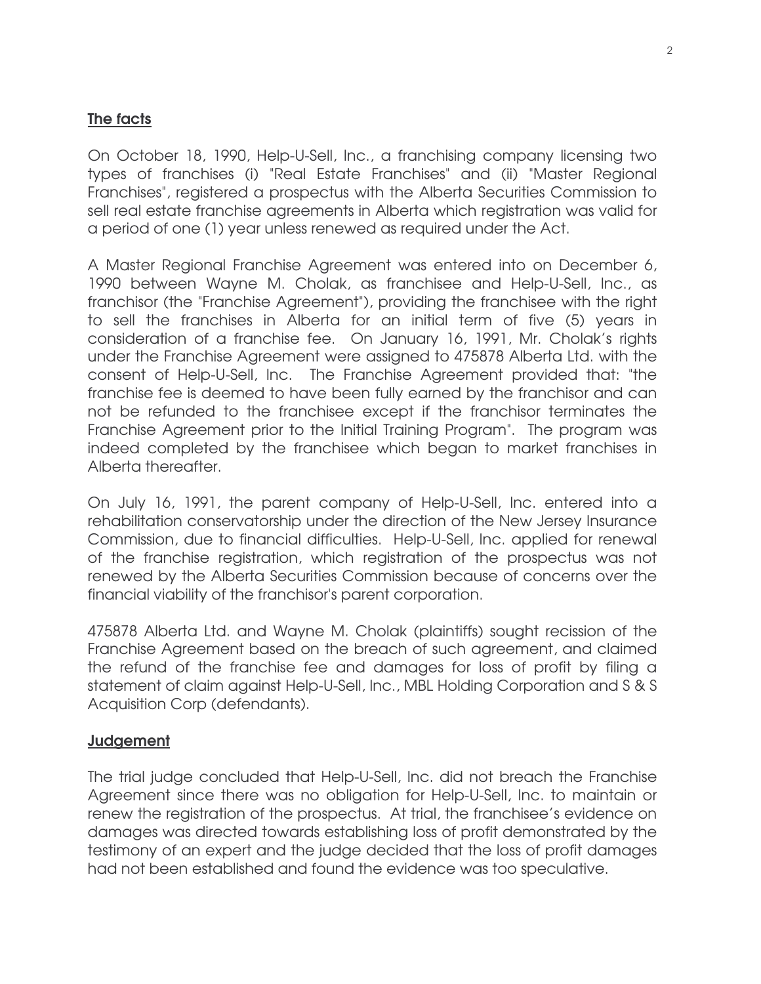## The facts

On October 18, 1990, Help-U-Sell, Inc., a franchising company licensing two types of franchises (i) "Real Estate Franchises" and (ii) "Master Regional Franchises", registered a prospectus with the Alberta Securities Commission to sell real estate franchise agreements in Alberta which registration was valid for a period of one (1) year unless renewed as required under the Act.

A Master Regional Franchise Agreement was entered into on December 6, 1990 between Wayne M. Cholak, as franchisee and Help-U-Sell, Inc., as franchisor (the "Franchise Agreement"), providing the franchisee with the right to sell the franchises in Alberta for an initial term of five (5) years in consideration of a franchise fee. On January 16, 1991, Mr. Cholak's rights under the Franchise Agreement were assigned to 475878 Alberta Ltd. with the consent of Help-U-Sell, Inc. The Franchise Agreement provided that: "the franchise fee is deemed to have been fully earned by the franchisor and can not be refunded to the franchisee except if the franchisor terminates the Franchise Agreement prior to the Initial Training Program". The program was indeed completed by the franchisee which began to market franchises in Alberta thereafter.

On July 16, 1991, the parent company of Help-U-Sell, Inc. entered into a rehabilitation conservatorship under the direction of the New Jersey Insurance Commission, due to financial difficulties. Help-U-Sell, Inc. applied for renewal of the franchise registration, which registration of the prospectus was not renewed by the Alberta Securities Commission because of concerns over the financial viability of the franchisor's parent corporation.

475878 Alberta Ltd. and Wayne M. Cholak (plaintiffs) sought recission of the Franchise Agreement based on the breach of such agreement, and claimed the refund of the franchise fee and damages for loss of profit by filing a statement of claim against Help-U-Sell, Inc., MBL Holding Corporation and S & S Acquisition Corp (defendants).

## Judgement

The trial judge concluded that Help-U-Sell, Inc. did not breach the Franchise Agreement since there was no obligation for Help-U-Sell, Inc. to maintain or renew the registration of the prospectus. At trial, the franchisee's evidence on damages was directed towards establishing loss of profit demonstrated by the testimony of an expert and the judge decided that the loss of profit damages had not been established and found the evidence was too speculative.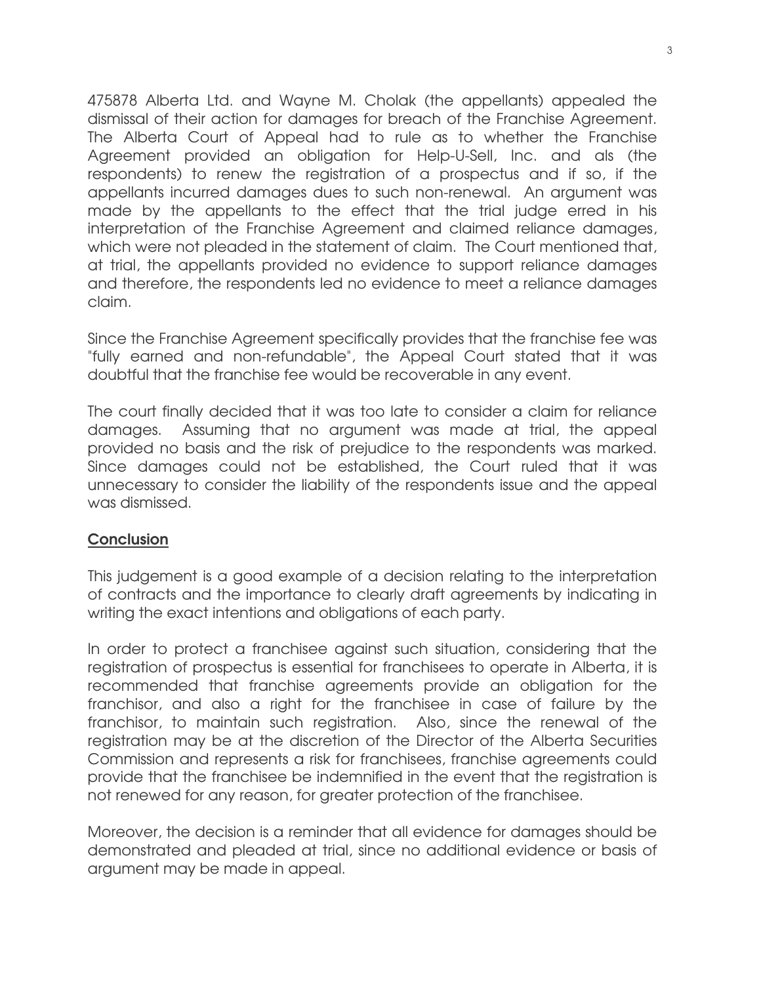475878 Alberta Ltd. and Wayne M. Cholak (the appellants) appealed the dismissal of their action for damages for breach of the Franchise Agreement. The Alberta Court of Appeal had to rule as to whether the Franchise Agreement provided an obligation for Help-U-Sell, Inc. and als (the respondents) to renew the registration of a prospectus and if so, if the appellants incurred damages dues to such non-renewal. An argument was made by the appellants to the effect that the trial judge erred in his interpretation of the Franchise Agreement and claimed reliance damages, which were not pleaded in the statement of claim. The Court mentioned that, at trial, the appellants provided no evidence to support reliance damages and therefore, the respondents led no evidence to meet a reliance damages claim.

Since the Franchise Agreement specifically provides that the franchise fee was "fully earned and non-refundable", the Appeal Court stated that it was doubtful that the franchise fee would be recoverable in any event.

The court finally decided that it was too late to consider a claim for reliance damages. Assuming that no argument was made at trial, the appeal provided no basis and the risk of prejudice to the respondents was marked. Since damages could not be established, the Court ruled that it was unnecessary to consider the liability of the respondents issue and the appeal was dismissed.

## **Conclusion**

This judgement is a good example of a decision relating to the interpretation of contracts and the importance to clearly draft agreements by indicating in writing the exact intentions and obligations of each party.

In order to protect a franchisee against such situation, considering that the registration of prospectus is essential for franchisees to operate in Alberta, it is recommended that franchise agreements provide an obligation for the franchisor, and also a right for the franchisee in case of failure by the franchisor, to maintain such registration. Also, since the renewal of the registration may be at the discretion of the Director of the Alberta Securities Commission and represents a risk for franchisees, franchise agreements could provide that the franchisee be indemnified in the event that the registration is not renewed for any reason, for greater protection of the franchisee.

Moreover, the decision is a reminder that all evidence for damages should be demonstrated and pleaded at trial, since no additional evidence or basis of argument may be made in appeal.